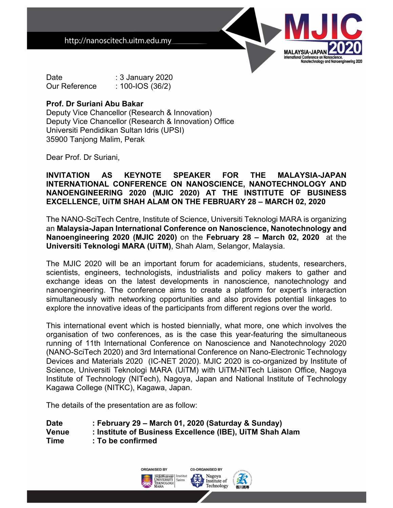http://nanoscitech.uitm.edu.my

Date : 3 January 2020 Our Reference : 100-IOS (36/2)

## **Prof. Dr Suriani Abu Bakar**

Deputy Vice Chancellor (Research & Innovation) Deputy Vice Chancellor (Research & Innovation) Office Universiti Pendidikan Sultan Idris (UPSI) 35900 Tanjong Malim, Perak

Dear Prof. Dr Suriani,

## **INVITATION AS KEYNOTE SPEAKER FOR THE MALAYSIA-JAPAN INTERNATIONAL CONFERENCE ON NANOSCIENCE, NANOTECHNOLOGY AND NANOENGINEERING 2020 (MJIC 2020) AT THE INSTITUTE OF BUSINESS EXCELLENCE, UiTM SHAH ALAM ON THE FEBRUARY 28 – MARCH 02, 2020**

**MALAYSIA-JAPA** 

Nanotechnology and Nar

The NANO-SciTech Centre, Institute of Science, Universiti Teknologi MARA is organizing an **Malaysia-Japan International Conference on Nanoscience, Nanotechnology and Nanoengineering 2020 (MJIC 2020)** on the **February 28 – March 02, 2020** at the **Universiti Teknologi MARA (UiTM)**, Shah Alam, Selangor, Malaysia.

The MJIC 2020 will be an important forum for academicians, students, researchers, scientists, engineers, technologists, industrialists and policy makers to gather and exchange ideas on the latest developments in nanoscience, nanotechnology and nanoengineering. The conference aims to create a platform for expert's interaction simultaneously with networking opportunities and also provides potential linkages to explore the innovative ideas of the participants from different regions over the world.

This international event which is hosted biennially, what more, one which involves the organisation of two conferences, as is the case this year-featuring the simultaneous running of 11th International Conference on Nanoscience and Nanotechnology 2020 (NANO-SciTech 2020) and 3rd International Conference on Nano-Electronic Technology Devices and Materials 2020 (IC-NET 2020). MJIC 2020 is co-organized by Institute of Science, Universiti Teknologi MARA (UiTM) with UiTM-NITech Liaison Office, Nagoya Institute of Technology (NITech), Nagoya, Japan and National Institute of Technology Kagawa College (NITKC), Kagawa, Japan.

The details of the presentation are as follow:

| <b>Date</b>  | : February 29 – March 01, 2020 (Saturday & Sunday)       |
|--------------|----------------------------------------------------------|
| <b>Venue</b> | : Institute of Business Excellence (IBE), UITM Shah Alam |
| <b>Time</b>  | : To be confirmed                                        |